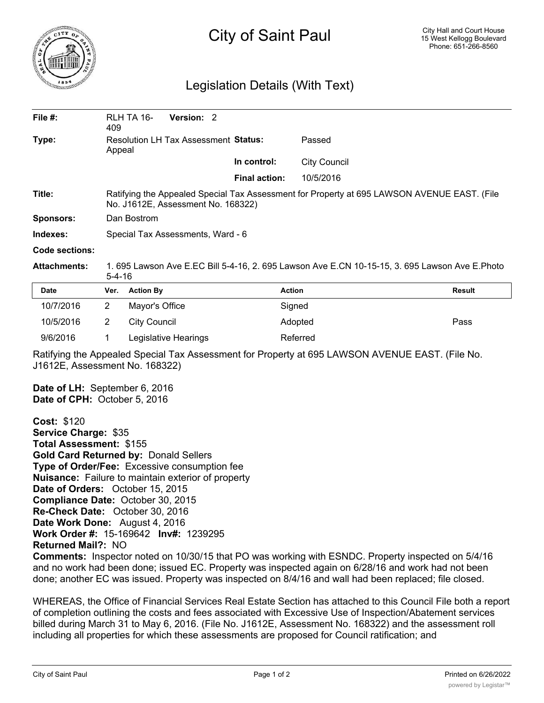

## City of Saint Paul

## Legislation Details (With Text)

| File $#$ :          | 409                                                                                                                               | RLH TA 16-          | Version: 2 |  |                      |                     |               |
|---------------------|-----------------------------------------------------------------------------------------------------------------------------------|---------------------|------------|--|----------------------|---------------------|---------------|
| Type:               | Resolution LH Tax Assessment Status:<br>Appeal                                                                                    |                     |            |  |                      | Passed              |               |
|                     |                                                                                                                                   |                     |            |  | In control:          | <b>City Council</b> |               |
|                     |                                                                                                                                   |                     |            |  | <b>Final action:</b> | 10/5/2016           |               |
| Title:              | Ratifying the Appealed Special Tax Assessment for Property at 695 LAWSON AVENUE EAST. (File<br>No. J1612E, Assessment No. 168322) |                     |            |  |                      |                     |               |
| <b>Sponsors:</b>    | Dan Bostrom                                                                                                                       |                     |            |  |                      |                     |               |
| Indexes:            | Special Tax Assessments, Ward - 6                                                                                                 |                     |            |  |                      |                     |               |
| Code sections:      |                                                                                                                                   |                     |            |  |                      |                     |               |
| <b>Attachments:</b> | 1. 695 Lawson Ave E.EC Bill 5-4-16, 2. 695 Lawson Ave E.CN 10-15-15, 3. 695 Lawson Ave E.Photo<br>5-4-16                          |                     |            |  |                      |                     |               |
| <b>Date</b>         | Ver.                                                                                                                              | <b>Action By</b>    |            |  |                      | <b>Action</b>       | <b>Result</b> |
| 10/7/2016           | $\overline{2}$                                                                                                                    | Mayor's Office      |            |  |                      | Signed              |               |
| 10/5/2016           | 2                                                                                                                                 | <b>City Council</b> |            |  |                      | Adopted             | Pass          |

Ratifying the Appealed Special Tax Assessment for Property at 695 LAWSON AVENUE EAST. (File No. J1612E, Assessment No. 168322)

**Date of LH:** September 6, 2016 **Date of CPH:** October 5, 2016

**Cost:** \$120 **Service Charge:** \$35 **Total Assessment:** \$155 **Gold Card Returned by:** Donald Sellers **Type of Order/Fee:** Excessive consumption fee **Nuisance:** Failure to maintain exterior of property **Date of Orders:** October 15, 2015 **Compliance Date:** October 30, 2015 **Re-Check Date:** October 30, 2016 **Date Work Done:** August 4, 2016 **Work Order #:** 15-169642 **Inv#:** 1239295 **Returned Mail?:** NO

9/6/2016 1 Legislative Hearings Referred

**Comments:** Inspector noted on 10/30/15 that PO was working with ESNDC. Property inspected on 5/4/16 and no work had been done; issued EC. Property was inspected again on 6/28/16 and work had not been done; another EC was issued. Property was inspected on 8/4/16 and wall had been replaced; file closed.

WHEREAS, the Office of Financial Services Real Estate Section has attached to this Council File both a report of completion outlining the costs and fees associated with Excessive Use of Inspection/Abatement services billed during March 31 to May 6, 2016. (File No. J1612E, Assessment No. 168322) and the assessment roll including all properties for which these assessments are proposed for Council ratification; and